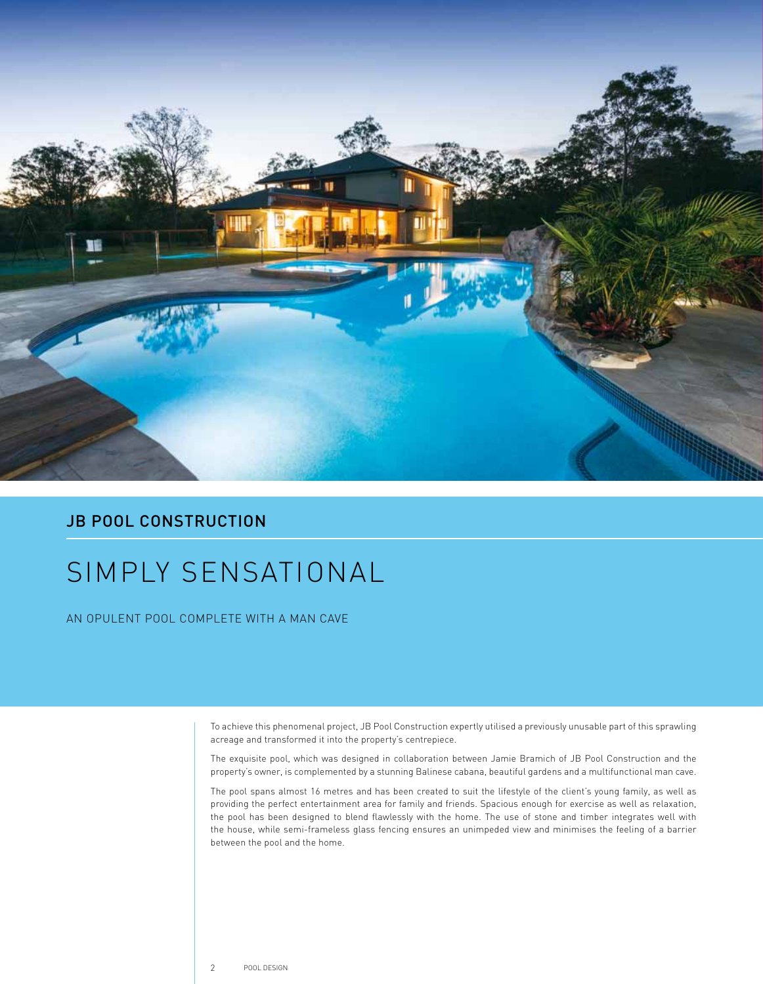

## **JB POOL CONSTRUCTION**

## SIMPLY SENSATIONAL

AN OPULENT POOL COMPLETE WITH A MAN CAVE

To achieve this phenomenal project, JB Pool Construction expertly utilised a previously unusable part of this sprawling acreage and transformed it into the property's centrepiece.

The exquisite pool, which was designed in collaboration between Jamie Bramich of JB Pool Construction and the property's owner, is complemented by a stunning Balinese cabana, beautiful gardens and a multifunctional man cave.

The pool spans almost 16 metres and has been created to suit the lifestyle of the client's young family, as well as providing the perfect entertainment area for family and friends. Spacious enough for exercise as well as relaxation, the pool has been designed to blend flawlessly with the home. The use of stone and timber integrates well with the house, while semi-frameless glass fencing ensures an unimpeded view and minimises the feeling of a barrier between the pool and the home.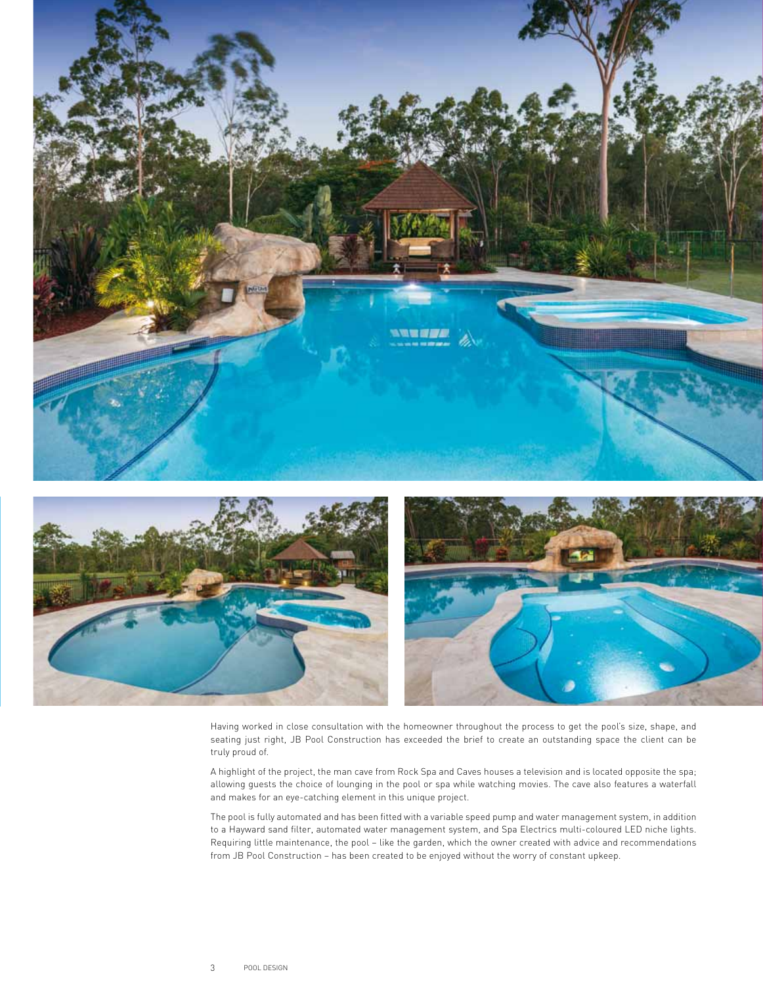

Having worked in close consultation with the homeowner throughout the process to get the pool's size, shape, and seating just right, JB Pool Construction has exceeded the brief to create an outstanding space the client can be truly proud of.

A highlight of the project, the man cave from Rock Spa and Caves houses a television and is located opposite the spa; allowing guests the choice of lounging in the pool or spa while watching movies. The cave also features a waterfall and makes for an eye-catching element in this unique project.

The pool is fully automated and has been fitted with a variable speed pump and water management system, in addition to a Hayward sand filter, automated water management system, and Spa Electrics multi-coloured LED niche lights. Requiring little maintenance, the pool – like the garden, which the owner created with advice and recommendations from JB Pool Construction – has been created to be enjoyed without the worry of constant upkeep.